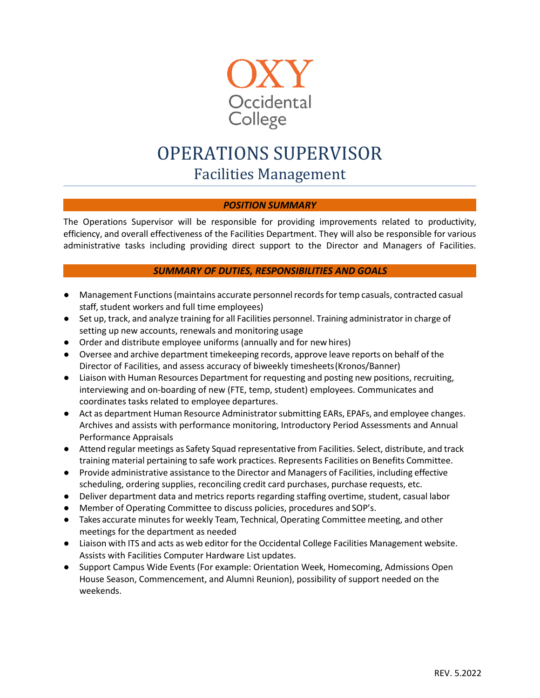

# OPERATIONS SUPERVISOR Facilities Management

## *POSITION SUMMARY*

The Operations Supervisor will be responsible for providing improvements related to productivity, efficiency, and overall effectiveness of the Facilities Department. They will also be responsible for various administrative tasks including providing direct support to the Director and Managers of Facilities.

## *SUMMARY OF DUTIES, RESPONSIBILITIES AND GOALS*

- Management Functions(maintains accurate personnelrecordsfortemp casuals, contracted casual staff, student workers and full time employees)
- Set up, track, and analyze training for all Facilities personnel. Training administrator in charge of setting up new accounts, renewals and monitoring usage
- Order and distribute employee uniforms (annually and for new hires)
- Oversee and archive department timekeeping records, approve leave reports on behalf of the Director of Facilities, and assess accuracy of biweekly timesheets(Kronos/Banner)
- Liaison with Human Resources Department for requesting and posting new positions, recruiting, interviewing and on-boarding of new (FTE, temp, student) employees. Communicates and coordinates tasks related to employee departures.
- Act as department Human Resource Administrator submitting EARs, EPAFs, and employee changes. Archives and assists with performance monitoring, Introductory Period Assessments and Annual Performance Appraisals
- Attend regular meetings as Safety Squad representative from Facilities. Select, distribute, and track training material pertaining to safe work practices. Represents Facilities on Benefits Committee.
- Provide administrative assistance to the Director and Managers of Facilities, including effective scheduling, ordering supplies, reconciling credit card purchases, purchase requests, etc.
- Deliver department data and metrics reports regarding staffing overtime, student, casual labor
- Member of Operating Committee to discuss policies, procedures and SOP's.
- Takes accurate minutes for weekly Team, Technical, Operating Committee meeting, and other meetings for the department as needed
- Liaison with ITS and acts as web editor for the Occidental College Facilities Management website. Assists with Facilities Computer Hardware List updates.
- Support Campus Wide Events (For example: Orientation Week, Homecoming, Admissions Open House Season, Commencement, and Alumni Reunion), possibility of support needed on the weekends.